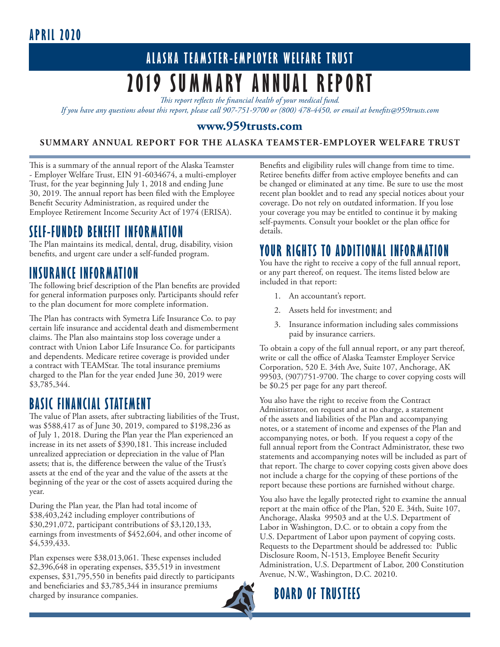# **APRIL 2020**

# **ALASKA TEAMSTER-EMPLOYER WELFARE TRUST 2019 SUMMARY ANNUAL REPORT**

*This report reflects the financial health of your medical fund.* 

*If you have any questions about this report, please call 907-751-9700 or (800) 478-4450, or email at benefits@959trusts.com* 

#### **www.959trusts.com**

**SUMMARY ANNUAL REPORT FOR THE ALASKA TEAMSTER-EMPLOYER WELFARE TRUST**

This is a summary of the annual report of the Alaska Teamster - Employer Welfare Trust, EIN 91-6034674, a multi-employer Trust, for the year beginning July 1, 2018 and ending June 30, 2019. The annual report has been filed with the Employee Benefit Security Administration, as required under the Employee Retirement Income Security Act of 1974 (ERISA).

#### **SELF-FUNDED BENEFIT INFORMATION**

The Plan maintains its medical, dental, drug, disability, vision benefits, and urgent care under a self-funded program.

#### **INSURANCE INFORMATION**

The following brief description of the Plan benefits are provided for general information purposes only. Participants should refer to the plan document for more complete information.

The Plan has contracts with Symetra Life Insurance Co. to pay certain life insurance and accidental death and dismemberment claims. The Plan also maintains stop loss coverage under a contract with Union Labor Life Insurance Co. for participants and dependents. Medicare retiree coverage is provided under a contract with TEAMStar. The total insurance premiums charged to the Plan for the year ended June 30, 2019 were \$3,785,344.

# **BASIC FINANCIAL STATEMENT**

The value of Plan assets, after subtracting liabilities of the Trust, was \$588,417 as of June 30, 2019, compared to \$198,236 as of July 1, 2018. During the Plan year the Plan experienced an increase in its net assets of \$390,181. This increase included unrealized appreciation or depreciation in the value of Plan assets; that is, the difference between the value of the Trust's assets at the end of the year and the value of the assets at the beginning of the year or the cost of assets acquired during the year.

During the Plan year, the Plan had total income of \$38,403,242 including employer contributions of \$30,291,072, participant contributions of \$3,120,133, earnings from investments of \$452,604, and other income of \$4,539,433.

Plan expenses were \$38,013,061. These expenses included \$2,396,648 in operating expenses, \$35,519 in investment expenses, \$31,795,550 in benefits paid directly to participants and beneficiaries and \$3,785,344 in insurance premiums charged by insurance companies.

Benefits and eligibility rules will change from time to time. Retiree benefits differ from active employee benefits and can be changed or eliminated at any time. Be sure to use the most recent plan booklet and to read any special notices about your coverage. Do not rely on outdated information. If you lose your coverage you may be entitled to continue it by making self-payments. Consult your booklet or the plan office for details.

## **YOUR RIGHTS TO ADDITIONAL INFORMATION**

You have the right to receive a copy of the full annual report, or any part thereof, on request. The items listed below are included in that report:

- 1. An accountant's report.
- 2. Assets held for investment; and
- 3. Insurance information including sales commissions paid by insurance carriers.

To obtain a copy of the full annual report, or any part thereof, write or call the office of Alaska Teamster Employer Service Corporation, 520 E. 34th Ave, Suite 107, Anchorage, AK 99503, (907)751-9700. The charge to cover copying costs will be \$0.25 per page for any part thereof.

You also have the right to receive from the Contract Administrator, on request and at no charge, a statement of the assets and liabilities of the Plan and accompanying notes, or a statement of income and expenses of the Plan and accompanying notes, or both. If you request a copy of the full annual report from the Contract Administrator, these two statements and accompanying notes will be included as part of that report. The charge to cover copying costs given above does not include a charge for the copying of these portions of the report because these portions are furnished without charge.

You also have the legally protected right to examine the annual report at the main office of the Plan, 520 E. 34th, Suite 107, Anchorage, Alaska 99503 and at the U.S. Department of Labor in Washington, D.C. or to obtain a copy from the U.S. Department of Labor upon payment of copying costs. Requests to the Department should be addressed to: Public Disclosure Room, N-1513, Employee Benefit Security Administration, U.S. Department of Labor, 200 Constitution Avenue, N.W., Washington, D.C. 20210.

### **BOARD OF TRUSTEES**